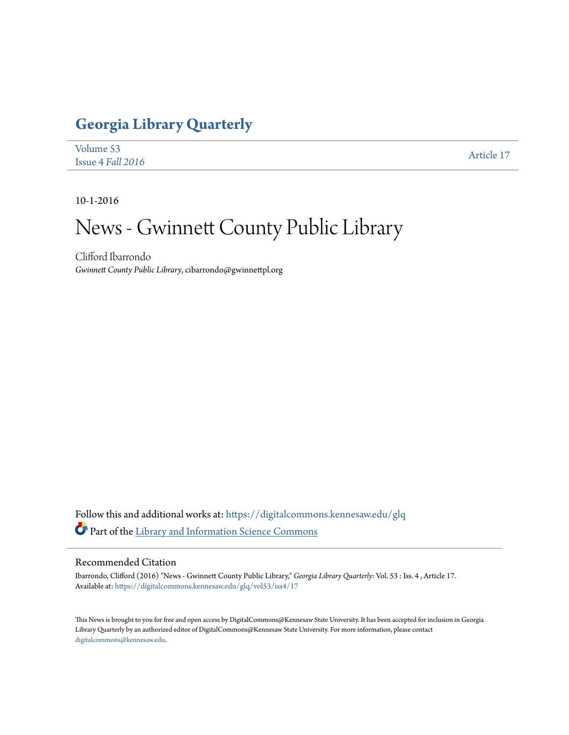## **[Georgia Library Quarterly](https://digitalcommons.kennesaw.edu/glq?utm_source=digitalcommons.kennesaw.edu%2Fglq%2Fvol53%2Fiss4%2F17&utm_medium=PDF&utm_campaign=PDFCoverPages)**

| Volume 53             | Article 17 |
|-----------------------|------------|
| Issue $4$ Fall $2016$ |            |

10-1-2016

## News - Gwinnett County Public Library

Clifford Ibarrondo *Gwinnett County Public Library*, cibarrondo@gwinnettpl.org

Follow this and additional works at: [https://digitalcommons.kennesaw.edu/glq](https://digitalcommons.kennesaw.edu/glq?utm_source=digitalcommons.kennesaw.edu%2Fglq%2Fvol53%2Fiss4%2F17&utm_medium=PDF&utm_campaign=PDFCoverPages) Part of the [Library and Information Science Commons](http://network.bepress.com/hgg/discipline/1018?utm_source=digitalcommons.kennesaw.edu%2Fglq%2Fvol53%2Fiss4%2F17&utm_medium=PDF&utm_campaign=PDFCoverPages)

## Recommended Citation

Ibarrondo, Clifford (2016) "News - Gwinnett County Public Library," *Georgia Library Quarterly*: Vol. 53 : Iss. 4 , Article 17. Available at: [https://digitalcommons.kennesaw.edu/glq/vol53/iss4/17](https://digitalcommons.kennesaw.edu/glq/vol53/iss4/17?utm_source=digitalcommons.kennesaw.edu%2Fglq%2Fvol53%2Fiss4%2F17&utm_medium=PDF&utm_campaign=PDFCoverPages)

This News is brought to you for free and open access by DigitalCommons@Kennesaw State University. It has been accepted for inclusion in Georgia Library Quarterly by an authorized editor of DigitalCommons@Kennesaw State University. For more information, please contact [digitalcommons@kennesaw.edu.](mailto:digitalcommons@kennesaw.edu)